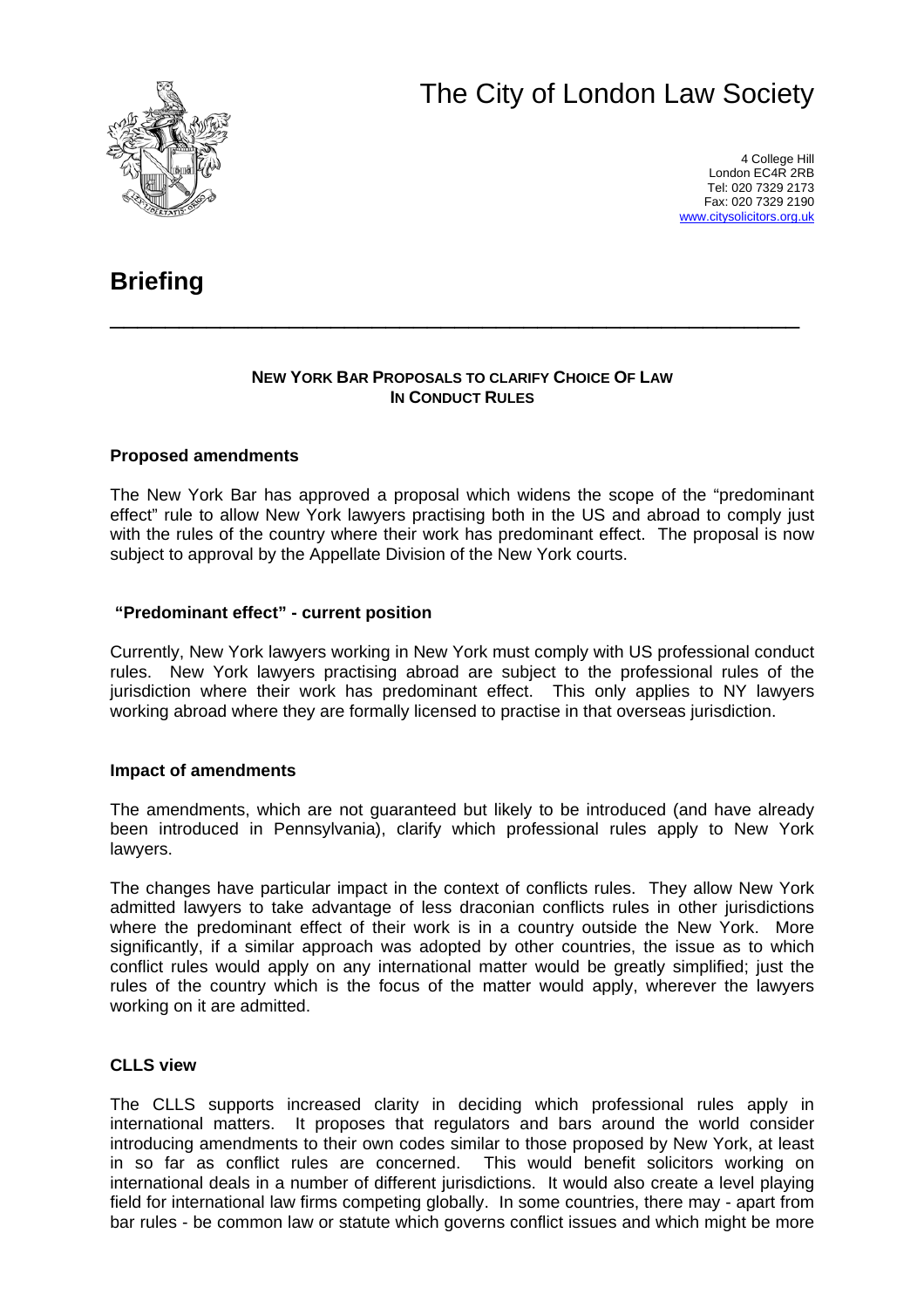# The City of London Law Society



4 College Hill London EC4R 2RB Tel: 020 7329 2173 Fax: 020 7329 2190 [www.citysolicitors.org.uk](http://www.citysolicitors.org.uk/)

# **Briefing**

#### **NEW YORK BAR PROPOSALS TO CLARIFY CHOICE OF LAW IN CONDUCT RULES**

\_\_\_\_\_\_\_\_\_\_\_\_\_\_\_\_\_\_\_\_\_\_\_\_\_\_\_\_\_\_\_\_\_\_\_\_\_\_\_\_\_\_\_\_\_\_\_\_\_\_

## **Proposed amendments**

The New York Bar has approved a proposal which widens the scope of the "predominant effect" rule to allow New York lawyers practising both in the US and abroad to comply just with the rules of the country where their work has predominant effect. The proposal is now subject to approval by the Appellate Division of the New York courts.

### **"Predominant effect" - current position**

Currently, New York lawyers working in New York must comply with US professional conduct rules. New York lawyers practising abroad are subject to the professional rules of the jurisdiction where their work has predominant effect. This only applies to NY lawyers working abroad where they are formally licensed to practise in that overseas jurisdiction.

### **Impact of amendments**

The amendments, which are not guaranteed but likely to be introduced (and have already been introduced in Pennsylvania), clarify which professional rules apply to New York lawyers.

The changes have particular impact in the context of conflicts rules. They allow New York admitted lawyers to take advantage of less draconian conflicts rules in other jurisdictions where the predominant effect of their work is in a country outside the New York. More significantly, if a similar approach was adopted by other countries, the issue as to which conflict rules would apply on any international matter would be greatly simplified; just the rules of the country which is the focus of the matter would apply, wherever the lawyers working on it are admitted.

### **CLLS view**

The CLLS supports increased clarity in deciding which professional rules apply in international matters. It proposes that regulators and bars around the world consider introducing amendments to their own codes similar to those proposed by New York, at least in so far as conflict rules are concerned. This would benefit solicitors working on international deals in a number of different jurisdictions. It would also create a level playing field for international law firms competing globally. In some countries, there may - apart from bar rules - be common law or statute which governs conflict issues and which might be more